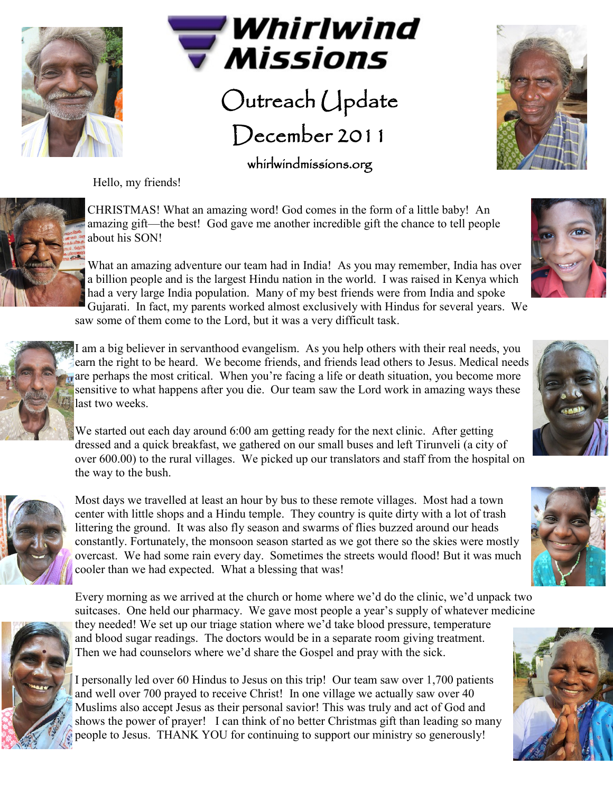



## Outreach Update December 2011

whirlwindmissions.org

Hello, my friends!





CHRISTMAS! What an amazing word! God comes in the form of a little baby! An amazing gift—the best! God gave me another incredible gift the chance to tell people about his SON!

What an amazing adventure our team had in India! As you may remember, India has over a billion people and is the largest Hindu nation in the world. I was raised in Kenya which had a very large India population. Many of my best friends were from India and spoke Gujarati. In fact, my parents worked almost exclusively with Hindus for several years. We saw some of them come to the Lord, but it was a very difficult task.



I am a big believer in servanthood evangelism. As you help others with their real needs, you earn the right to be heard. We become friends, and friends lead others to Jesus. Medical needs are perhaps the most critical. When you're facing a life or death situation, you become more sensitive to what happens after you die. Our team saw the Lord work in amazing ways these last two weeks.

We started out each day around 6:00 am getting ready for the next clinic. After getting dressed and a quick breakfast, we gathered on our small buses and left Tirunveli (a city of over 600.00) to the rural villages. We picked up our translators and staff from the hospital on the way to the bush.



Most days we travelled at least an hour by bus to these remote villages. Most had a town center with little shops and a Hindu temple. They country is quite dirty with a lot of trash littering the ground. It was also fly season and swarms of flies buzzed around our heads constantly. Fortunately, the monsoon season started as we got there so the skies were mostly overcast. We had some rain every day. Sometimes the streets would flood! But it was much cooler than we had expected. What a blessing that was!



Every morning as we arrived at the church or home where we'd do the clinic, we'd unpack two suitcases. One held our pharmacy. We gave most people a year's supply of whatever medicine they needed! We set up our triage station where we'd take blood pressure, temperature and blood sugar readings. The doctors would be in a separate room giving treatment. Then we had counselors where we'd share the Gospel and pray with the sick.

I personally led over 60 Hindus to Jesus on this trip! Our team saw over 1,700 patients and well over 700 prayed to receive Christ! In one village we actually saw over 40 Muslims also accept Jesus as their personal savior! This was truly and act of God and shows the power of prayer! I can think of no better Christmas gift than leading so many people to Jesus. THANK YOU for continuing to support our ministry so generously!